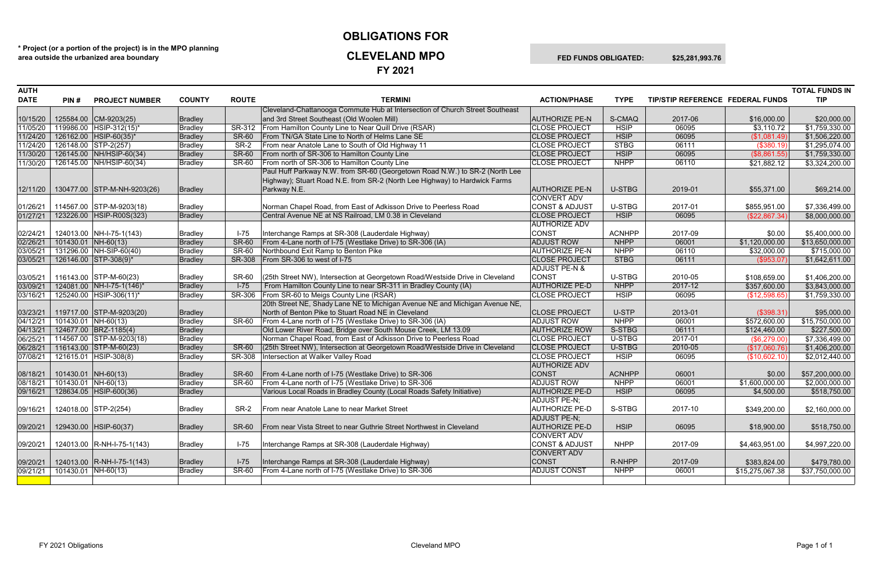## **OBLIGATIONS FOR CLEVELAND MPO FED FUNDS OBLIGATED: \$25,281,993.76**

**FY 2021**

| <b>DATE</b><br><b>COUNTY</b><br><b>ROUTE</b><br><b>TERMINI</b><br><b>ACTION/PHASE</b><br><b>TYPE</b><br>TIP/STIP REFERENCE FEDERAL FUNDS<br><b>TIP</b><br>PIN#<br><b>PROJECT NUMBER</b><br>Cleveland-Chattanooga Commute Hub at Intersection of Church Street Southeast<br>and 3rd Street Southeast (Old Woolen Mill)<br>125584.00 CM-9203(25)<br><b>Bradley</b><br><b>AUTHORIZE PE-N</b><br>S-CMAQ<br>2017-06<br>\$20,000.00<br>10/15/20<br>\$16,000.00<br>119986.00 HSIP-312(15)*<br>SR-312 From Hamilton County Line to Near Quill Drive (RSAR)<br><b>CLOSE PROJECT</b><br><b>HSIP</b><br>06095<br>Bradley<br>\$1,759,330.00<br>11/05/20<br>\$3,110.72<br>From TN/GA State Line to North of Helms Lane SE<br><b>HSIP</b><br>06095<br>126162.00 HSIP-60(35)*<br>Bradley<br><b>CLOSE PROJECT</b><br>11/24/20<br><b>SR-60</b><br>(\$1,081.49)<br>\$1,506,220.00<br>Bradley<br>SR-2<br>From near Anatole Lane to South of Old Highway 11<br><b>CLOSE PROJECT</b><br><b>STBG</b><br>06111<br>126148.00 STP-2(257)<br>11/24/20<br>(\$380.19)<br>\$1,295,074.00<br><b>SR-60</b><br><b>HSIP</b><br>06095<br>126145.00 NH/HSIP-60(34)<br>Bradley<br>From north of SR-306 to Hamilton County Line<br><b>CLOSE PROJECT</b><br>(\$8,861.55)<br>\$1,759,330.00<br>11/30/20<br><b>NHPP</b><br><b>Bradley</b><br><b>SR-60</b><br>From north of SR-306 to Hamilton County Line<br><b>CLOSE PROJECT</b><br>06110<br>11/30/20<br>126145.00 NH/HSIP-60(34)<br>\$21,882.12<br>\$3,324,200.00<br>Paul Huff Parkway N.W. from SR-60 (Georgetown Road N.W.) to SR-2 (North Lee<br>Highway); Stuart Road N.E. from SR-2 (North Lee Highway) to Hardwick Farms<br><b>U-STBG</b><br>130477.00 STP-M-NH-9203(26)<br>Parkway N.E.<br><b>AUTHORIZE PE-N</b><br>2019-01<br>Bradley<br>\$69,214.00<br>12/11/20<br>\$55,371.00<br>CONVERT ADV<br>Norman Chapel Road, from East of Adkisson Drive to Peerless Road<br>114567.00 STP-M-9203(18)<br><b>CONST &amp; ADJUST</b><br>U-STBG<br>2017-01<br>Bradley<br>\$855,951.00<br>\$7,336,499.00<br>01/26/21<br>Central Avenue NE at NS Railroad, LM 0.38 in Cleveland<br>06095<br>123226.00   HSIP-R00S(323)<br><b>CLOSE PROJECT</b><br><b>HSIP</b><br>01/27/21<br>Bradley<br>(\$22,867.34)<br>\$8,000,000.00<br><b>AUTHORIZE ADV</b><br>Interchange Ramps at SR-308 (Lauderdale Highway)<br>CONST<br>124013.00 NH-I-75-1(143)<br>$I-75$<br><b>ACNHPP</b><br>2017-09<br>\$5,400,000.00<br>02/24/21<br>Bradley<br>\$0.00<br><b>SR-60</b><br>$101430.01$ NH-60(13)<br>Bradley<br>From 4-Lane north of I-75 (Westlake Drive) to SR-306 (IA)<br><b>ADJUST ROW</b><br><b>NHPP</b><br>06001<br>02/26/21<br>\$1,120,000.00<br>\$13,650,000.00<br><b>SR-60</b><br>Northbound Exit Ramp to Benton Pike<br><b>NHPP</b><br>131296.00 NH-SIP-60(40)<br>Bradley<br><b>AUTHORIZE PE-N</b><br>06110<br>03/05/21<br>\$32,000.00<br>\$715,000.00<br><b>CLOSE PROJECT</b><br>126146.00 STP-308(9)*<br><b>SR-308</b><br>From SR-306 to west of I-75<br><b>STBG</b><br>06111<br>(\$953.07)<br>03/05/21<br>Bradley<br>\$1,642,611.00<br><b>ADJUST PE-N &amp;</b><br>CONST<br>\$1,406,200.00<br>116143.00 STP-M-60(23)<br><b>SR-60</b><br>(25th Street NW), Intersection at Georgetown Road/Westside Drive in Cleveland<br>U-STBG<br>2010-05<br>03/05/21<br>Bradley<br>\$108,659.00<br>$I-75$<br>From Hamilton County Line to near SR-311 in Bradley County (IA)<br><b>AUTHORIZE PE-D</b><br><b>NHPP</b><br>2017-12<br>03/09/21<br>124081.00 NH-I-75-1(146)*<br>Bradley<br>\$357,600.00<br>\$3,843,000.00<br>SR-306<br>From SR-60 to Meigs County Line (RSAR)<br><b>HSIP</b><br>Bradley<br><b>CLOSE PROJECT</b><br>06095<br>(\$12,598.65)<br>\$1,759,330.00<br>03/16/21<br>125240.00   HSIP-306(11)*<br>20th Street NE, Shady Lane NE to Michigan Avenue NE and Michigan Avenue NE,<br>North of Benton Pike to Stuart Road NE in Cleveland<br>U-STP<br>119717.00 STP-M-9203(20)<br>Bradley<br><b>CLOSE PROJECT</b><br>2013-01<br>(\$398.31)<br>\$95,000.00<br>03/23/21<br><b>NHPP</b><br>06001<br>$\overline{$15,750,000.00}$<br>101430.01 NH-60(13)<br>Bradley<br>From 4-Lane north of I-75 (Westlake Drive) to SR-306 (IA)<br><b>ADJUST ROW</b><br>\$572,600.00<br>04/12/21<br><b>SR-60</b><br>124677.00 BRZ-1185(4)<br>Bradley<br>Old Lower River Road, Bridge over South Mouse Creek, LM 13.09<br>S-STBG<br>06111<br>\$227,500.00<br>04/13/21<br><b>AUTHORIZE ROW</b><br>\$124,460.00<br>Norman Chapel Road, from East of Adkisson Drive to Peerless Road<br>U-STBG<br>2017-01<br>114567.00 STP-M-9203(18)<br><b>CLOSE PROJECT</b><br>\$7,336,499.00<br>06/25/21<br>Bradley<br>(\$6,279.00)<br>(25th Street NW), Intersection at Georgetown Road/Westside Drive in Cleveland<br>U-STBG<br>06/28/21<br>116143.00 STP-M-60(23)<br>Bradley<br><b>SR-60</b><br><b>CLOSE PROJECT</b><br>2010-05<br>(\$17,060.76)<br>\$1,406,200.00<br>06095<br>\$2,012,440.00<br>07/08/21<br>121615.01 HSIP-308(8)<br><b>SR-308</b><br>Intersection at Walker Valley Road<br><b>CLOSE PROJECT</b><br><b>HSIP</b><br>(\$10,602.10)<br>Bradley<br><b>AUTHORIZE ADV</b><br>From 4-Lane north of I-75 (Westlake Drive) to SR-306<br><b>CONST</b><br>\$57,200,000.00<br>101430.01   NH-60(13)<br><b>SR-60</b><br><b>ACNHPP</b><br>06001<br>\$0.00<br>08/18/21<br>Bradley<br>From 4-Lane north of I-75 (Westlake Drive) to SR-306<br>101430.01 NH-60(13)<br>Bradley<br><b>SR-60</b><br><b>ADJUST ROW</b><br><b>NHPP</b><br>06001<br>\$1,600,000.00<br>\$2,000,000.00<br>08/18/21<br>Various Local Roads in Bradley County (Local Roads Safety Initiative)<br><b>AUTHORIZE PE-D</b><br><b>HSIP</b><br>06095<br>128634.05 HSIP-600(36)<br>Bradley<br>09/16/21<br>\$4,500.00<br>\$518,750.00<br>ADJUST PE-N;<br>Bradley<br>From near Anatole Lane to near Market Street<br><b>AUTHORIZE PE-D</b><br>S-STBG<br>2017-10<br>124018.00 STP-2(254)<br>SR-2<br>\$349,200.00<br>\$2,160,000.00<br>09/16/21<br>ADJUST PE-N;<br>129430.00 HSIP-60(37)<br>Bradley<br><b>SR-60</b><br>From near Vista Street to near Guthrie Street Northwest in Cleveland<br><b>AUTHORIZE PE-D</b><br><b>HSIP</b><br>06095<br>09/20/21<br>\$518,750.00<br>\$18,900.00<br><b>CONVERT ADV</b><br><b>CONST &amp; ADJUST</b><br>124013.00 R-NH-I-75-1(143)<br>$I-75$<br>Interchange Ramps at SR-308 (Lauderdale Highway)<br><b>NHPP</b><br>2017-09<br>Bradley<br>\$4,997,220.00<br>09/20/21<br>\$4,463,951.00<br>CONVERT ADV<br>$I-75$<br><b>CONST</b><br>Bradley<br>Interchange Ramps at SR-308 (Lauderdale Highway)<br>R-NHPP<br>124013.00   R-NH-I-75-1(143)<br>2017-09<br>\$479,780.00<br>09/20/21<br>\$383,824.00<br>101430.01 NH-60(13)<br><b>SR-60</b><br>From 4-Lane north of I-75 (Westlake Drive) to SR-306<br><b>ADJUST CONST</b><br><b>NHPP</b><br>06001<br>Bradley<br>\$15,275,067.38<br>09/21/21<br>\$37,750,000.00 | <b>AUTH</b> |  |  |  |  | <b>TOTAL FUNDS IN</b> |
|---------------------------------------------------------------------------------------------------------------------------------------------------------------------------------------------------------------------------------------------------------------------------------------------------------------------------------------------------------------------------------------------------------------------------------------------------------------------------------------------------------------------------------------------------------------------------------------------------------------------------------------------------------------------------------------------------------------------------------------------------------------------------------------------------------------------------------------------------------------------------------------------------------------------------------------------------------------------------------------------------------------------------------------------------------------------------------------------------------------------------------------------------------------------------------------------------------------------------------------------------------------------------------------------------------------------------------------------------------------------------------------------------------------------------------------------------------------------------------------------------------------------------------------------------------------------------------------------------------------------------------------------------------------------------------------------------------------------------------------------------------------------------------------------------------------------------------------------------------------------------------------------------------------------------------------------------------------------------------------------------------------------------------------------------------------------------------------------------------------------------------------------------------------------------------------------------------------------------------------------------------------------------------------------------------------------------------------------------------------------------------------------------------------------------------------------------------------------------------------------------------------------------------------------------------------------------------------------------------------------------------------------------------------------------------------------------------------------------------------------------------------------------------------------------------------------------------------------------------------------------------------------------------------------------------------------------------------------------------------------------------------------------------------------------------------------------------------------------------------------------------------------------------------------------------------------------------------------------------------------------------------------------------------------------------------------------------------------------------------------------------------------------------------------------------------------------------------------------------------------------------------------------------------------------------------------------------------------------------------------------------------------------------------------------------------------------------------------------------------------------------------------------------------------------------------------------------------------------------------------------------------------------------------------------------------------------------------------------------------------------------------------------------------------------------------------------------------------------------------------------------------------------------------------------------------------------------------------------------------------------------------------------------------------------------------------------------------------------------------------------------------------------------------------------------------------------------------------------------------------------------------------------------------------------------------------------------------------------------------------------------------------------------------------------------------------------------------------------------------------------------------------------------------------------------------------------------------------------------------------------------------------------------------------------------------------------------------------------------------------------------------------------------------------------------------------------------------------------------------------------------------------------------------------------------------------------------------------------------------------------------------------------------------------------------------------------------------------------------------------------------------------------------------------------------------------------------------------------------------------------------------------------------------------------------------------------------------------------------------------------------------------------------------------------------------------------------------------------------------------------------------------------------------------------------------------------------------------------------------------------------------------------------------------------------------------------------------------------------------------------------------------------------------------------------------------------------------------------------------------------------------------------------------------------------------------------------------------------------------------------------------------------------------------------------------------------------------------------------------------------------------------------------------------------------------------------------------------------------------------------------------------------------------------------------------------------------------------------------------------------------------------------------------------------------------------------------------------------------------------------------------------|-------------|--|--|--|--|-----------------------|
|                                                                                                                                                                                                                                                                                                                                                                                                                                                                                                                                                                                                                                                                                                                                                                                                                                                                                                                                                                                                                                                                                                                                                                                                                                                                                                                                                                                                                                                                                                                                                                                                                                                                                                                                                                                                                                                                                                                                                                                                                                                                                                                                                                                                                                                                                                                                                                                                                                                                                                                                                                                                                                                                                                                                                                                                                                                                                                                                                                                                                                                                                                                                                                                                                                                                                                                                                                                                                                                                                                                                                                                                                                                                                                                                                                                                                                                                                                                                                                                                                                                                                                                                                                                                                                                                                                                                                                                                                                                                                                                                                                                                                                                                                                                                                                                                                                                                                                                                                                                                                                                                                                                                                                                                                                                                                                                                                                                                                                                                                                                                                                                                                                                                                                                                                                                                                                                                                                                                                                                                                                                                                                                                                                                                                                                                                                                                                                                                                                                                                                                                                                                                                                                                                                                                                                     |             |  |  |  |  |                       |
|                                                                                                                                                                                                                                                                                                                                                                                                                                                                                                                                                                                                                                                                                                                                                                                                                                                                                                                                                                                                                                                                                                                                                                                                                                                                                                                                                                                                                                                                                                                                                                                                                                                                                                                                                                                                                                                                                                                                                                                                                                                                                                                                                                                                                                                                                                                                                                                                                                                                                                                                                                                                                                                                                                                                                                                                                                                                                                                                                                                                                                                                                                                                                                                                                                                                                                                                                                                                                                                                                                                                                                                                                                                                                                                                                                                                                                                                                                                                                                                                                                                                                                                                                                                                                                                                                                                                                                                                                                                                                                                                                                                                                                                                                                                                                                                                                                                                                                                                                                                                                                                                                                                                                                                                                                                                                                                                                                                                                                                                                                                                                                                                                                                                                                                                                                                                                                                                                                                                                                                                                                                                                                                                                                                                                                                                                                                                                                                                                                                                                                                                                                                                                                                                                                                                                                     |             |  |  |  |  |                       |
|                                                                                                                                                                                                                                                                                                                                                                                                                                                                                                                                                                                                                                                                                                                                                                                                                                                                                                                                                                                                                                                                                                                                                                                                                                                                                                                                                                                                                                                                                                                                                                                                                                                                                                                                                                                                                                                                                                                                                                                                                                                                                                                                                                                                                                                                                                                                                                                                                                                                                                                                                                                                                                                                                                                                                                                                                                                                                                                                                                                                                                                                                                                                                                                                                                                                                                                                                                                                                                                                                                                                                                                                                                                                                                                                                                                                                                                                                                                                                                                                                                                                                                                                                                                                                                                                                                                                                                                                                                                                                                                                                                                                                                                                                                                                                                                                                                                                                                                                                                                                                                                                                                                                                                                                                                                                                                                                                                                                                                                                                                                                                                                                                                                                                                                                                                                                                                                                                                                                                                                                                                                                                                                                                                                                                                                                                                                                                                                                                                                                                                                                                                                                                                                                                                                                                                     |             |  |  |  |  |                       |
|                                                                                                                                                                                                                                                                                                                                                                                                                                                                                                                                                                                                                                                                                                                                                                                                                                                                                                                                                                                                                                                                                                                                                                                                                                                                                                                                                                                                                                                                                                                                                                                                                                                                                                                                                                                                                                                                                                                                                                                                                                                                                                                                                                                                                                                                                                                                                                                                                                                                                                                                                                                                                                                                                                                                                                                                                                                                                                                                                                                                                                                                                                                                                                                                                                                                                                                                                                                                                                                                                                                                                                                                                                                                                                                                                                                                                                                                                                                                                                                                                                                                                                                                                                                                                                                                                                                                                                                                                                                                                                                                                                                                                                                                                                                                                                                                                                                                                                                                                                                                                                                                                                                                                                                                                                                                                                                                                                                                                                                                                                                                                                                                                                                                                                                                                                                                                                                                                                                                                                                                                                                                                                                                                                                                                                                                                                                                                                                                                                                                                                                                                                                                                                                                                                                                                                     |             |  |  |  |  |                       |
|                                                                                                                                                                                                                                                                                                                                                                                                                                                                                                                                                                                                                                                                                                                                                                                                                                                                                                                                                                                                                                                                                                                                                                                                                                                                                                                                                                                                                                                                                                                                                                                                                                                                                                                                                                                                                                                                                                                                                                                                                                                                                                                                                                                                                                                                                                                                                                                                                                                                                                                                                                                                                                                                                                                                                                                                                                                                                                                                                                                                                                                                                                                                                                                                                                                                                                                                                                                                                                                                                                                                                                                                                                                                                                                                                                                                                                                                                                                                                                                                                                                                                                                                                                                                                                                                                                                                                                                                                                                                                                                                                                                                                                                                                                                                                                                                                                                                                                                                                                                                                                                                                                                                                                                                                                                                                                                                                                                                                                                                                                                                                                                                                                                                                                                                                                                                                                                                                                                                                                                                                                                                                                                                                                                                                                                                                                                                                                                                                                                                                                                                                                                                                                                                                                                                                                     |             |  |  |  |  |                       |
|                                                                                                                                                                                                                                                                                                                                                                                                                                                                                                                                                                                                                                                                                                                                                                                                                                                                                                                                                                                                                                                                                                                                                                                                                                                                                                                                                                                                                                                                                                                                                                                                                                                                                                                                                                                                                                                                                                                                                                                                                                                                                                                                                                                                                                                                                                                                                                                                                                                                                                                                                                                                                                                                                                                                                                                                                                                                                                                                                                                                                                                                                                                                                                                                                                                                                                                                                                                                                                                                                                                                                                                                                                                                                                                                                                                                                                                                                                                                                                                                                                                                                                                                                                                                                                                                                                                                                                                                                                                                                                                                                                                                                                                                                                                                                                                                                                                                                                                                                                                                                                                                                                                                                                                                                                                                                                                                                                                                                                                                                                                                                                                                                                                                                                                                                                                                                                                                                                                                                                                                                                                                                                                                                                                                                                                                                                                                                                                                                                                                                                                                                                                                                                                                                                                                                                     |             |  |  |  |  |                       |
|                                                                                                                                                                                                                                                                                                                                                                                                                                                                                                                                                                                                                                                                                                                                                                                                                                                                                                                                                                                                                                                                                                                                                                                                                                                                                                                                                                                                                                                                                                                                                                                                                                                                                                                                                                                                                                                                                                                                                                                                                                                                                                                                                                                                                                                                                                                                                                                                                                                                                                                                                                                                                                                                                                                                                                                                                                                                                                                                                                                                                                                                                                                                                                                                                                                                                                                                                                                                                                                                                                                                                                                                                                                                                                                                                                                                                                                                                                                                                                                                                                                                                                                                                                                                                                                                                                                                                                                                                                                                                                                                                                                                                                                                                                                                                                                                                                                                                                                                                                                                                                                                                                                                                                                                                                                                                                                                                                                                                                                                                                                                                                                                                                                                                                                                                                                                                                                                                                                                                                                                                                                                                                                                                                                                                                                                                                                                                                                                                                                                                                                                                                                                                                                                                                                                                                     |             |  |  |  |  |                       |
|                                                                                                                                                                                                                                                                                                                                                                                                                                                                                                                                                                                                                                                                                                                                                                                                                                                                                                                                                                                                                                                                                                                                                                                                                                                                                                                                                                                                                                                                                                                                                                                                                                                                                                                                                                                                                                                                                                                                                                                                                                                                                                                                                                                                                                                                                                                                                                                                                                                                                                                                                                                                                                                                                                                                                                                                                                                                                                                                                                                                                                                                                                                                                                                                                                                                                                                                                                                                                                                                                                                                                                                                                                                                                                                                                                                                                                                                                                                                                                                                                                                                                                                                                                                                                                                                                                                                                                                                                                                                                                                                                                                                                                                                                                                                                                                                                                                                                                                                                                                                                                                                                                                                                                                                                                                                                                                                                                                                                                                                                                                                                                                                                                                                                                                                                                                                                                                                                                                                                                                                                                                                                                                                                                                                                                                                                                                                                                                                                                                                                                                                                                                                                                                                                                                                                                     |             |  |  |  |  |                       |
|                                                                                                                                                                                                                                                                                                                                                                                                                                                                                                                                                                                                                                                                                                                                                                                                                                                                                                                                                                                                                                                                                                                                                                                                                                                                                                                                                                                                                                                                                                                                                                                                                                                                                                                                                                                                                                                                                                                                                                                                                                                                                                                                                                                                                                                                                                                                                                                                                                                                                                                                                                                                                                                                                                                                                                                                                                                                                                                                                                                                                                                                                                                                                                                                                                                                                                                                                                                                                                                                                                                                                                                                                                                                                                                                                                                                                                                                                                                                                                                                                                                                                                                                                                                                                                                                                                                                                                                                                                                                                                                                                                                                                                                                                                                                                                                                                                                                                                                                                                                                                                                                                                                                                                                                                                                                                                                                                                                                                                                                                                                                                                                                                                                                                                                                                                                                                                                                                                                                                                                                                                                                                                                                                                                                                                                                                                                                                                                                                                                                                                                                                                                                                                                                                                                                                                     |             |  |  |  |  |                       |
|                                                                                                                                                                                                                                                                                                                                                                                                                                                                                                                                                                                                                                                                                                                                                                                                                                                                                                                                                                                                                                                                                                                                                                                                                                                                                                                                                                                                                                                                                                                                                                                                                                                                                                                                                                                                                                                                                                                                                                                                                                                                                                                                                                                                                                                                                                                                                                                                                                                                                                                                                                                                                                                                                                                                                                                                                                                                                                                                                                                                                                                                                                                                                                                                                                                                                                                                                                                                                                                                                                                                                                                                                                                                                                                                                                                                                                                                                                                                                                                                                                                                                                                                                                                                                                                                                                                                                                                                                                                                                                                                                                                                                                                                                                                                                                                                                                                                                                                                                                                                                                                                                                                                                                                                                                                                                                                                                                                                                                                                                                                                                                                                                                                                                                                                                                                                                                                                                                                                                                                                                                                                                                                                                                                                                                                                                                                                                                                                                                                                                                                                                                                                                                                                                                                                                                     |             |  |  |  |  |                       |
|                                                                                                                                                                                                                                                                                                                                                                                                                                                                                                                                                                                                                                                                                                                                                                                                                                                                                                                                                                                                                                                                                                                                                                                                                                                                                                                                                                                                                                                                                                                                                                                                                                                                                                                                                                                                                                                                                                                                                                                                                                                                                                                                                                                                                                                                                                                                                                                                                                                                                                                                                                                                                                                                                                                                                                                                                                                                                                                                                                                                                                                                                                                                                                                                                                                                                                                                                                                                                                                                                                                                                                                                                                                                                                                                                                                                                                                                                                                                                                                                                                                                                                                                                                                                                                                                                                                                                                                                                                                                                                                                                                                                                                                                                                                                                                                                                                                                                                                                                                                                                                                                                                                                                                                                                                                                                                                                                                                                                                                                                                                                                                                                                                                                                                                                                                                                                                                                                                                                                                                                                                                                                                                                                                                                                                                                                                                                                                                                                                                                                                                                                                                                                                                                                                                                                                     |             |  |  |  |  |                       |
|                                                                                                                                                                                                                                                                                                                                                                                                                                                                                                                                                                                                                                                                                                                                                                                                                                                                                                                                                                                                                                                                                                                                                                                                                                                                                                                                                                                                                                                                                                                                                                                                                                                                                                                                                                                                                                                                                                                                                                                                                                                                                                                                                                                                                                                                                                                                                                                                                                                                                                                                                                                                                                                                                                                                                                                                                                                                                                                                                                                                                                                                                                                                                                                                                                                                                                                                                                                                                                                                                                                                                                                                                                                                                                                                                                                                                                                                                                                                                                                                                                                                                                                                                                                                                                                                                                                                                                                                                                                                                                                                                                                                                                                                                                                                                                                                                                                                                                                                                                                                                                                                                                                                                                                                                                                                                                                                                                                                                                                                                                                                                                                                                                                                                                                                                                                                                                                                                                                                                                                                                                                                                                                                                                                                                                                                                                                                                                                                                                                                                                                                                                                                                                                                                                                                                                     |             |  |  |  |  |                       |
|                                                                                                                                                                                                                                                                                                                                                                                                                                                                                                                                                                                                                                                                                                                                                                                                                                                                                                                                                                                                                                                                                                                                                                                                                                                                                                                                                                                                                                                                                                                                                                                                                                                                                                                                                                                                                                                                                                                                                                                                                                                                                                                                                                                                                                                                                                                                                                                                                                                                                                                                                                                                                                                                                                                                                                                                                                                                                                                                                                                                                                                                                                                                                                                                                                                                                                                                                                                                                                                                                                                                                                                                                                                                                                                                                                                                                                                                                                                                                                                                                                                                                                                                                                                                                                                                                                                                                                                                                                                                                                                                                                                                                                                                                                                                                                                                                                                                                                                                                                                                                                                                                                                                                                                                                                                                                                                                                                                                                                                                                                                                                                                                                                                                                                                                                                                                                                                                                                                                                                                                                                                                                                                                                                                                                                                                                                                                                                                                                                                                                                                                                                                                                                                                                                                                                                     |             |  |  |  |  |                       |
|                                                                                                                                                                                                                                                                                                                                                                                                                                                                                                                                                                                                                                                                                                                                                                                                                                                                                                                                                                                                                                                                                                                                                                                                                                                                                                                                                                                                                                                                                                                                                                                                                                                                                                                                                                                                                                                                                                                                                                                                                                                                                                                                                                                                                                                                                                                                                                                                                                                                                                                                                                                                                                                                                                                                                                                                                                                                                                                                                                                                                                                                                                                                                                                                                                                                                                                                                                                                                                                                                                                                                                                                                                                                                                                                                                                                                                                                                                                                                                                                                                                                                                                                                                                                                                                                                                                                                                                                                                                                                                                                                                                                                                                                                                                                                                                                                                                                                                                                                                                                                                                                                                                                                                                                                                                                                                                                                                                                                                                                                                                                                                                                                                                                                                                                                                                                                                                                                                                                                                                                                                                                                                                                                                                                                                                                                                                                                                                                                                                                                                                                                                                                                                                                                                                                                                     |             |  |  |  |  |                       |
|                                                                                                                                                                                                                                                                                                                                                                                                                                                                                                                                                                                                                                                                                                                                                                                                                                                                                                                                                                                                                                                                                                                                                                                                                                                                                                                                                                                                                                                                                                                                                                                                                                                                                                                                                                                                                                                                                                                                                                                                                                                                                                                                                                                                                                                                                                                                                                                                                                                                                                                                                                                                                                                                                                                                                                                                                                                                                                                                                                                                                                                                                                                                                                                                                                                                                                                                                                                                                                                                                                                                                                                                                                                                                                                                                                                                                                                                                                                                                                                                                                                                                                                                                                                                                                                                                                                                                                                                                                                                                                                                                                                                                                                                                                                                                                                                                                                                                                                                                                                                                                                                                                                                                                                                                                                                                                                                                                                                                                                                                                                                                                                                                                                                                                                                                                                                                                                                                                                                                                                                                                                                                                                                                                                                                                                                                                                                                                                                                                                                                                                                                                                                                                                                                                                                                                     |             |  |  |  |  |                       |
|                                                                                                                                                                                                                                                                                                                                                                                                                                                                                                                                                                                                                                                                                                                                                                                                                                                                                                                                                                                                                                                                                                                                                                                                                                                                                                                                                                                                                                                                                                                                                                                                                                                                                                                                                                                                                                                                                                                                                                                                                                                                                                                                                                                                                                                                                                                                                                                                                                                                                                                                                                                                                                                                                                                                                                                                                                                                                                                                                                                                                                                                                                                                                                                                                                                                                                                                                                                                                                                                                                                                                                                                                                                                                                                                                                                                                                                                                                                                                                                                                                                                                                                                                                                                                                                                                                                                                                                                                                                                                                                                                                                                                                                                                                                                                                                                                                                                                                                                                                                                                                                                                                                                                                                                                                                                                                                                                                                                                                                                                                                                                                                                                                                                                                                                                                                                                                                                                                                                                                                                                                                                                                                                                                                                                                                                                                                                                                                                                                                                                                                                                                                                                                                                                                                                                                     |             |  |  |  |  |                       |
|                                                                                                                                                                                                                                                                                                                                                                                                                                                                                                                                                                                                                                                                                                                                                                                                                                                                                                                                                                                                                                                                                                                                                                                                                                                                                                                                                                                                                                                                                                                                                                                                                                                                                                                                                                                                                                                                                                                                                                                                                                                                                                                                                                                                                                                                                                                                                                                                                                                                                                                                                                                                                                                                                                                                                                                                                                                                                                                                                                                                                                                                                                                                                                                                                                                                                                                                                                                                                                                                                                                                                                                                                                                                                                                                                                                                                                                                                                                                                                                                                                                                                                                                                                                                                                                                                                                                                                                                                                                                                                                                                                                                                                                                                                                                                                                                                                                                                                                                                                                                                                                                                                                                                                                                                                                                                                                                                                                                                                                                                                                                                                                                                                                                                                                                                                                                                                                                                                                                                                                                                                                                                                                                                                                                                                                                                                                                                                                                                                                                                                                                                                                                                                                                                                                                                                     |             |  |  |  |  |                       |
|                                                                                                                                                                                                                                                                                                                                                                                                                                                                                                                                                                                                                                                                                                                                                                                                                                                                                                                                                                                                                                                                                                                                                                                                                                                                                                                                                                                                                                                                                                                                                                                                                                                                                                                                                                                                                                                                                                                                                                                                                                                                                                                                                                                                                                                                                                                                                                                                                                                                                                                                                                                                                                                                                                                                                                                                                                                                                                                                                                                                                                                                                                                                                                                                                                                                                                                                                                                                                                                                                                                                                                                                                                                                                                                                                                                                                                                                                                                                                                                                                                                                                                                                                                                                                                                                                                                                                                                                                                                                                                                                                                                                                                                                                                                                                                                                                                                                                                                                                                                                                                                                                                                                                                                                                                                                                                                                                                                                                                                                                                                                                                                                                                                                                                                                                                                                                                                                                                                                                                                                                                                                                                                                                                                                                                                                                                                                                                                                                                                                                                                                                                                                                                                                                                                                                                     |             |  |  |  |  |                       |
|                                                                                                                                                                                                                                                                                                                                                                                                                                                                                                                                                                                                                                                                                                                                                                                                                                                                                                                                                                                                                                                                                                                                                                                                                                                                                                                                                                                                                                                                                                                                                                                                                                                                                                                                                                                                                                                                                                                                                                                                                                                                                                                                                                                                                                                                                                                                                                                                                                                                                                                                                                                                                                                                                                                                                                                                                                                                                                                                                                                                                                                                                                                                                                                                                                                                                                                                                                                                                                                                                                                                                                                                                                                                                                                                                                                                                                                                                                                                                                                                                                                                                                                                                                                                                                                                                                                                                                                                                                                                                                                                                                                                                                                                                                                                                                                                                                                                                                                                                                                                                                                                                                                                                                                                                                                                                                                                                                                                                                                                                                                                                                                                                                                                                                                                                                                                                                                                                                                                                                                                                                                                                                                                                                                                                                                                                                                                                                                                                                                                                                                                                                                                                                                                                                                                                                     |             |  |  |  |  |                       |
|                                                                                                                                                                                                                                                                                                                                                                                                                                                                                                                                                                                                                                                                                                                                                                                                                                                                                                                                                                                                                                                                                                                                                                                                                                                                                                                                                                                                                                                                                                                                                                                                                                                                                                                                                                                                                                                                                                                                                                                                                                                                                                                                                                                                                                                                                                                                                                                                                                                                                                                                                                                                                                                                                                                                                                                                                                                                                                                                                                                                                                                                                                                                                                                                                                                                                                                                                                                                                                                                                                                                                                                                                                                                                                                                                                                                                                                                                                                                                                                                                                                                                                                                                                                                                                                                                                                                                                                                                                                                                                                                                                                                                                                                                                                                                                                                                                                                                                                                                                                                                                                                                                                                                                                                                                                                                                                                                                                                                                                                                                                                                                                                                                                                                                                                                                                                                                                                                                                                                                                                                                                                                                                                                                                                                                                                                                                                                                                                                                                                                                                                                                                                                                                                                                                                                                     |             |  |  |  |  |                       |
|                                                                                                                                                                                                                                                                                                                                                                                                                                                                                                                                                                                                                                                                                                                                                                                                                                                                                                                                                                                                                                                                                                                                                                                                                                                                                                                                                                                                                                                                                                                                                                                                                                                                                                                                                                                                                                                                                                                                                                                                                                                                                                                                                                                                                                                                                                                                                                                                                                                                                                                                                                                                                                                                                                                                                                                                                                                                                                                                                                                                                                                                                                                                                                                                                                                                                                                                                                                                                                                                                                                                                                                                                                                                                                                                                                                                                                                                                                                                                                                                                                                                                                                                                                                                                                                                                                                                                                                                                                                                                                                                                                                                                                                                                                                                                                                                                                                                                                                                                                                                                                                                                                                                                                                                                                                                                                                                                                                                                                                                                                                                                                                                                                                                                                                                                                                                                                                                                                                                                                                                                                                                                                                                                                                                                                                                                                                                                                                                                                                                                                                                                                                                                                                                                                                                                                     |             |  |  |  |  |                       |
|                                                                                                                                                                                                                                                                                                                                                                                                                                                                                                                                                                                                                                                                                                                                                                                                                                                                                                                                                                                                                                                                                                                                                                                                                                                                                                                                                                                                                                                                                                                                                                                                                                                                                                                                                                                                                                                                                                                                                                                                                                                                                                                                                                                                                                                                                                                                                                                                                                                                                                                                                                                                                                                                                                                                                                                                                                                                                                                                                                                                                                                                                                                                                                                                                                                                                                                                                                                                                                                                                                                                                                                                                                                                                                                                                                                                                                                                                                                                                                                                                                                                                                                                                                                                                                                                                                                                                                                                                                                                                                                                                                                                                                                                                                                                                                                                                                                                                                                                                                                                                                                                                                                                                                                                                                                                                                                                                                                                                                                                                                                                                                                                                                                                                                                                                                                                                                                                                                                                                                                                                                                                                                                                                                                                                                                                                                                                                                                                                                                                                                                                                                                                                                                                                                                                                                     |             |  |  |  |  |                       |
|                                                                                                                                                                                                                                                                                                                                                                                                                                                                                                                                                                                                                                                                                                                                                                                                                                                                                                                                                                                                                                                                                                                                                                                                                                                                                                                                                                                                                                                                                                                                                                                                                                                                                                                                                                                                                                                                                                                                                                                                                                                                                                                                                                                                                                                                                                                                                                                                                                                                                                                                                                                                                                                                                                                                                                                                                                                                                                                                                                                                                                                                                                                                                                                                                                                                                                                                                                                                                                                                                                                                                                                                                                                                                                                                                                                                                                                                                                                                                                                                                                                                                                                                                                                                                                                                                                                                                                                                                                                                                                                                                                                                                                                                                                                                                                                                                                                                                                                                                                                                                                                                                                                                                                                                                                                                                                                                                                                                                                                                                                                                                                                                                                                                                                                                                                                                                                                                                                                                                                                                                                                                                                                                                                                                                                                                                                                                                                                                                                                                                                                                                                                                                                                                                                                                                                     |             |  |  |  |  |                       |
|                                                                                                                                                                                                                                                                                                                                                                                                                                                                                                                                                                                                                                                                                                                                                                                                                                                                                                                                                                                                                                                                                                                                                                                                                                                                                                                                                                                                                                                                                                                                                                                                                                                                                                                                                                                                                                                                                                                                                                                                                                                                                                                                                                                                                                                                                                                                                                                                                                                                                                                                                                                                                                                                                                                                                                                                                                                                                                                                                                                                                                                                                                                                                                                                                                                                                                                                                                                                                                                                                                                                                                                                                                                                                                                                                                                                                                                                                                                                                                                                                                                                                                                                                                                                                                                                                                                                                                                                                                                                                                                                                                                                                                                                                                                                                                                                                                                                                                                                                                                                                                                                                                                                                                                                                                                                                                                                                                                                                                                                                                                                                                                                                                                                                                                                                                                                                                                                                                                                                                                                                                                                                                                                                                                                                                                                                                                                                                                                                                                                                                                                                                                                                                                                                                                                                                     |             |  |  |  |  |                       |
|                                                                                                                                                                                                                                                                                                                                                                                                                                                                                                                                                                                                                                                                                                                                                                                                                                                                                                                                                                                                                                                                                                                                                                                                                                                                                                                                                                                                                                                                                                                                                                                                                                                                                                                                                                                                                                                                                                                                                                                                                                                                                                                                                                                                                                                                                                                                                                                                                                                                                                                                                                                                                                                                                                                                                                                                                                                                                                                                                                                                                                                                                                                                                                                                                                                                                                                                                                                                                                                                                                                                                                                                                                                                                                                                                                                                                                                                                                                                                                                                                                                                                                                                                                                                                                                                                                                                                                                                                                                                                                                                                                                                                                                                                                                                                                                                                                                                                                                                                                                                                                                                                                                                                                                                                                                                                                                                                                                                                                                                                                                                                                                                                                                                                                                                                                                                                                                                                                                                                                                                                                                                                                                                                                                                                                                                                                                                                                                                                                                                                                                                                                                                                                                                                                                                                                     |             |  |  |  |  |                       |
|                                                                                                                                                                                                                                                                                                                                                                                                                                                                                                                                                                                                                                                                                                                                                                                                                                                                                                                                                                                                                                                                                                                                                                                                                                                                                                                                                                                                                                                                                                                                                                                                                                                                                                                                                                                                                                                                                                                                                                                                                                                                                                                                                                                                                                                                                                                                                                                                                                                                                                                                                                                                                                                                                                                                                                                                                                                                                                                                                                                                                                                                                                                                                                                                                                                                                                                                                                                                                                                                                                                                                                                                                                                                                                                                                                                                                                                                                                                                                                                                                                                                                                                                                                                                                                                                                                                                                                                                                                                                                                                                                                                                                                                                                                                                                                                                                                                                                                                                                                                                                                                                                                                                                                                                                                                                                                                                                                                                                                                                                                                                                                                                                                                                                                                                                                                                                                                                                                                                                                                                                                                                                                                                                                                                                                                                                                                                                                                                                                                                                                                                                                                                                                                                                                                                                                     |             |  |  |  |  |                       |
|                                                                                                                                                                                                                                                                                                                                                                                                                                                                                                                                                                                                                                                                                                                                                                                                                                                                                                                                                                                                                                                                                                                                                                                                                                                                                                                                                                                                                                                                                                                                                                                                                                                                                                                                                                                                                                                                                                                                                                                                                                                                                                                                                                                                                                                                                                                                                                                                                                                                                                                                                                                                                                                                                                                                                                                                                                                                                                                                                                                                                                                                                                                                                                                                                                                                                                                                                                                                                                                                                                                                                                                                                                                                                                                                                                                                                                                                                                                                                                                                                                                                                                                                                                                                                                                                                                                                                                                                                                                                                                                                                                                                                                                                                                                                                                                                                                                                                                                                                                                                                                                                                                                                                                                                                                                                                                                                                                                                                                                                                                                                                                                                                                                                                                                                                                                                                                                                                                                                                                                                                                                                                                                                                                                                                                                                                                                                                                                                                                                                                                                                                                                                                                                                                                                                                                     |             |  |  |  |  |                       |
|                                                                                                                                                                                                                                                                                                                                                                                                                                                                                                                                                                                                                                                                                                                                                                                                                                                                                                                                                                                                                                                                                                                                                                                                                                                                                                                                                                                                                                                                                                                                                                                                                                                                                                                                                                                                                                                                                                                                                                                                                                                                                                                                                                                                                                                                                                                                                                                                                                                                                                                                                                                                                                                                                                                                                                                                                                                                                                                                                                                                                                                                                                                                                                                                                                                                                                                                                                                                                                                                                                                                                                                                                                                                                                                                                                                                                                                                                                                                                                                                                                                                                                                                                                                                                                                                                                                                                                                                                                                                                                                                                                                                                                                                                                                                                                                                                                                                                                                                                                                                                                                                                                                                                                                                                                                                                                                                                                                                                                                                                                                                                                                                                                                                                                                                                                                                                                                                                                                                                                                                                                                                                                                                                                                                                                                                                                                                                                                                                                                                                                                                                                                                                                                                                                                                                                     |             |  |  |  |  |                       |
|                                                                                                                                                                                                                                                                                                                                                                                                                                                                                                                                                                                                                                                                                                                                                                                                                                                                                                                                                                                                                                                                                                                                                                                                                                                                                                                                                                                                                                                                                                                                                                                                                                                                                                                                                                                                                                                                                                                                                                                                                                                                                                                                                                                                                                                                                                                                                                                                                                                                                                                                                                                                                                                                                                                                                                                                                                                                                                                                                                                                                                                                                                                                                                                                                                                                                                                                                                                                                                                                                                                                                                                                                                                                                                                                                                                                                                                                                                                                                                                                                                                                                                                                                                                                                                                                                                                                                                                                                                                                                                                                                                                                                                                                                                                                                                                                                                                                                                                                                                                                                                                                                                                                                                                                                                                                                                                                                                                                                                                                                                                                                                                                                                                                                                                                                                                                                                                                                                                                                                                                                                                                                                                                                                                                                                                                                                                                                                                                                                                                                                                                                                                                                                                                                                                                                                     |             |  |  |  |  |                       |
|                                                                                                                                                                                                                                                                                                                                                                                                                                                                                                                                                                                                                                                                                                                                                                                                                                                                                                                                                                                                                                                                                                                                                                                                                                                                                                                                                                                                                                                                                                                                                                                                                                                                                                                                                                                                                                                                                                                                                                                                                                                                                                                                                                                                                                                                                                                                                                                                                                                                                                                                                                                                                                                                                                                                                                                                                                                                                                                                                                                                                                                                                                                                                                                                                                                                                                                                                                                                                                                                                                                                                                                                                                                                                                                                                                                                                                                                                                                                                                                                                                                                                                                                                                                                                                                                                                                                                                                                                                                                                                                                                                                                                                                                                                                                                                                                                                                                                                                                                                                                                                                                                                                                                                                                                                                                                                                                                                                                                                                                                                                                                                                                                                                                                                                                                                                                                                                                                                                                                                                                                                                                                                                                                                                                                                                                                                                                                                                                                                                                                                                                                                                                                                                                                                                                                                     |             |  |  |  |  |                       |
|                                                                                                                                                                                                                                                                                                                                                                                                                                                                                                                                                                                                                                                                                                                                                                                                                                                                                                                                                                                                                                                                                                                                                                                                                                                                                                                                                                                                                                                                                                                                                                                                                                                                                                                                                                                                                                                                                                                                                                                                                                                                                                                                                                                                                                                                                                                                                                                                                                                                                                                                                                                                                                                                                                                                                                                                                                                                                                                                                                                                                                                                                                                                                                                                                                                                                                                                                                                                                                                                                                                                                                                                                                                                                                                                                                                                                                                                                                                                                                                                                                                                                                                                                                                                                                                                                                                                                                                                                                                                                                                                                                                                                                                                                                                                                                                                                                                                                                                                                                                                                                                                                                                                                                                                                                                                                                                                                                                                                                                                                                                                                                                                                                                                                                                                                                                                                                                                                                                                                                                                                                                                                                                                                                                                                                                                                                                                                                                                                                                                                                                                                                                                                                                                                                                                                                     |             |  |  |  |  |                       |
|                                                                                                                                                                                                                                                                                                                                                                                                                                                                                                                                                                                                                                                                                                                                                                                                                                                                                                                                                                                                                                                                                                                                                                                                                                                                                                                                                                                                                                                                                                                                                                                                                                                                                                                                                                                                                                                                                                                                                                                                                                                                                                                                                                                                                                                                                                                                                                                                                                                                                                                                                                                                                                                                                                                                                                                                                                                                                                                                                                                                                                                                                                                                                                                                                                                                                                                                                                                                                                                                                                                                                                                                                                                                                                                                                                                                                                                                                                                                                                                                                                                                                                                                                                                                                                                                                                                                                                                                                                                                                                                                                                                                                                                                                                                                                                                                                                                                                                                                                                                                                                                                                                                                                                                                                                                                                                                                                                                                                                                                                                                                                                                                                                                                                                                                                                                                                                                                                                                                                                                                                                                                                                                                                                                                                                                                                                                                                                                                                                                                                                                                                                                                                                                                                                                                                                     |             |  |  |  |  |                       |
|                                                                                                                                                                                                                                                                                                                                                                                                                                                                                                                                                                                                                                                                                                                                                                                                                                                                                                                                                                                                                                                                                                                                                                                                                                                                                                                                                                                                                                                                                                                                                                                                                                                                                                                                                                                                                                                                                                                                                                                                                                                                                                                                                                                                                                                                                                                                                                                                                                                                                                                                                                                                                                                                                                                                                                                                                                                                                                                                                                                                                                                                                                                                                                                                                                                                                                                                                                                                                                                                                                                                                                                                                                                                                                                                                                                                                                                                                                                                                                                                                                                                                                                                                                                                                                                                                                                                                                                                                                                                                                                                                                                                                                                                                                                                                                                                                                                                                                                                                                                                                                                                                                                                                                                                                                                                                                                                                                                                                                                                                                                                                                                                                                                                                                                                                                                                                                                                                                                                                                                                                                                                                                                                                                                                                                                                                                                                                                                                                                                                                                                                                                                                                                                                                                                                                                     |             |  |  |  |  |                       |
|                                                                                                                                                                                                                                                                                                                                                                                                                                                                                                                                                                                                                                                                                                                                                                                                                                                                                                                                                                                                                                                                                                                                                                                                                                                                                                                                                                                                                                                                                                                                                                                                                                                                                                                                                                                                                                                                                                                                                                                                                                                                                                                                                                                                                                                                                                                                                                                                                                                                                                                                                                                                                                                                                                                                                                                                                                                                                                                                                                                                                                                                                                                                                                                                                                                                                                                                                                                                                                                                                                                                                                                                                                                                                                                                                                                                                                                                                                                                                                                                                                                                                                                                                                                                                                                                                                                                                                                                                                                                                                                                                                                                                                                                                                                                                                                                                                                                                                                                                                                                                                                                                                                                                                                                                                                                                                                                                                                                                                                                                                                                                                                                                                                                                                                                                                                                                                                                                                                                                                                                                                                                                                                                                                                                                                                                                                                                                                                                                                                                                                                                                                                                                                                                                                                                                                     |             |  |  |  |  |                       |
|                                                                                                                                                                                                                                                                                                                                                                                                                                                                                                                                                                                                                                                                                                                                                                                                                                                                                                                                                                                                                                                                                                                                                                                                                                                                                                                                                                                                                                                                                                                                                                                                                                                                                                                                                                                                                                                                                                                                                                                                                                                                                                                                                                                                                                                                                                                                                                                                                                                                                                                                                                                                                                                                                                                                                                                                                                                                                                                                                                                                                                                                                                                                                                                                                                                                                                                                                                                                                                                                                                                                                                                                                                                                                                                                                                                                                                                                                                                                                                                                                                                                                                                                                                                                                                                                                                                                                                                                                                                                                                                                                                                                                                                                                                                                                                                                                                                                                                                                                                                                                                                                                                                                                                                                                                                                                                                                                                                                                                                                                                                                                                                                                                                                                                                                                                                                                                                                                                                                                                                                                                                                                                                                                                                                                                                                                                                                                                                                                                                                                                                                                                                                                                                                                                                                                                     |             |  |  |  |  |                       |
|                                                                                                                                                                                                                                                                                                                                                                                                                                                                                                                                                                                                                                                                                                                                                                                                                                                                                                                                                                                                                                                                                                                                                                                                                                                                                                                                                                                                                                                                                                                                                                                                                                                                                                                                                                                                                                                                                                                                                                                                                                                                                                                                                                                                                                                                                                                                                                                                                                                                                                                                                                                                                                                                                                                                                                                                                                                                                                                                                                                                                                                                                                                                                                                                                                                                                                                                                                                                                                                                                                                                                                                                                                                                                                                                                                                                                                                                                                                                                                                                                                                                                                                                                                                                                                                                                                                                                                                                                                                                                                                                                                                                                                                                                                                                                                                                                                                                                                                                                                                                                                                                                                                                                                                                                                                                                                                                                                                                                                                                                                                                                                                                                                                                                                                                                                                                                                                                                                                                                                                                                                                                                                                                                                                                                                                                                                                                                                                                                                                                                                                                                                                                                                                                                                                                                                     |             |  |  |  |  |                       |
|                                                                                                                                                                                                                                                                                                                                                                                                                                                                                                                                                                                                                                                                                                                                                                                                                                                                                                                                                                                                                                                                                                                                                                                                                                                                                                                                                                                                                                                                                                                                                                                                                                                                                                                                                                                                                                                                                                                                                                                                                                                                                                                                                                                                                                                                                                                                                                                                                                                                                                                                                                                                                                                                                                                                                                                                                                                                                                                                                                                                                                                                                                                                                                                                                                                                                                                                                                                                                                                                                                                                                                                                                                                                                                                                                                                                                                                                                                                                                                                                                                                                                                                                                                                                                                                                                                                                                                                                                                                                                                                                                                                                                                                                                                                                                                                                                                                                                                                                                                                                                                                                                                                                                                                                                                                                                                                                                                                                                                                                                                                                                                                                                                                                                                                                                                                                                                                                                                                                                                                                                                                                                                                                                                                                                                                                                                                                                                                                                                                                                                                                                                                                                                                                                                                                                                     |             |  |  |  |  |                       |
|                                                                                                                                                                                                                                                                                                                                                                                                                                                                                                                                                                                                                                                                                                                                                                                                                                                                                                                                                                                                                                                                                                                                                                                                                                                                                                                                                                                                                                                                                                                                                                                                                                                                                                                                                                                                                                                                                                                                                                                                                                                                                                                                                                                                                                                                                                                                                                                                                                                                                                                                                                                                                                                                                                                                                                                                                                                                                                                                                                                                                                                                                                                                                                                                                                                                                                                                                                                                                                                                                                                                                                                                                                                                                                                                                                                                                                                                                                                                                                                                                                                                                                                                                                                                                                                                                                                                                                                                                                                                                                                                                                                                                                                                                                                                                                                                                                                                                                                                                                                                                                                                                                                                                                                                                                                                                                                                                                                                                                                                                                                                                                                                                                                                                                                                                                                                                                                                                                                                                                                                                                                                                                                                                                                                                                                                                                                                                                                                                                                                                                                                                                                                                                                                                                                                                                     |             |  |  |  |  |                       |
|                                                                                                                                                                                                                                                                                                                                                                                                                                                                                                                                                                                                                                                                                                                                                                                                                                                                                                                                                                                                                                                                                                                                                                                                                                                                                                                                                                                                                                                                                                                                                                                                                                                                                                                                                                                                                                                                                                                                                                                                                                                                                                                                                                                                                                                                                                                                                                                                                                                                                                                                                                                                                                                                                                                                                                                                                                                                                                                                                                                                                                                                                                                                                                                                                                                                                                                                                                                                                                                                                                                                                                                                                                                                                                                                                                                                                                                                                                                                                                                                                                                                                                                                                                                                                                                                                                                                                                                                                                                                                                                                                                                                                                                                                                                                                                                                                                                                                                                                                                                                                                                                                                                                                                                                                                                                                                                                                                                                                                                                                                                                                                                                                                                                                                                                                                                                                                                                                                                                                                                                                                                                                                                                                                                                                                                                                                                                                                                                                                                                                                                                                                                                                                                                                                                                                                     |             |  |  |  |  |                       |
|                                                                                                                                                                                                                                                                                                                                                                                                                                                                                                                                                                                                                                                                                                                                                                                                                                                                                                                                                                                                                                                                                                                                                                                                                                                                                                                                                                                                                                                                                                                                                                                                                                                                                                                                                                                                                                                                                                                                                                                                                                                                                                                                                                                                                                                                                                                                                                                                                                                                                                                                                                                                                                                                                                                                                                                                                                                                                                                                                                                                                                                                                                                                                                                                                                                                                                                                                                                                                                                                                                                                                                                                                                                                                                                                                                                                                                                                                                                                                                                                                                                                                                                                                                                                                                                                                                                                                                                                                                                                                                                                                                                                                                                                                                                                                                                                                                                                                                                                                                                                                                                                                                                                                                                                                                                                                                                                                                                                                                                                                                                                                                                                                                                                                                                                                                                                                                                                                                                                                                                                                                                                                                                                                                                                                                                                                                                                                                                                                                                                                                                                                                                                                                                                                                                                                                     |             |  |  |  |  |                       |
|                                                                                                                                                                                                                                                                                                                                                                                                                                                                                                                                                                                                                                                                                                                                                                                                                                                                                                                                                                                                                                                                                                                                                                                                                                                                                                                                                                                                                                                                                                                                                                                                                                                                                                                                                                                                                                                                                                                                                                                                                                                                                                                                                                                                                                                                                                                                                                                                                                                                                                                                                                                                                                                                                                                                                                                                                                                                                                                                                                                                                                                                                                                                                                                                                                                                                                                                                                                                                                                                                                                                                                                                                                                                                                                                                                                                                                                                                                                                                                                                                                                                                                                                                                                                                                                                                                                                                                                                                                                                                                                                                                                                                                                                                                                                                                                                                                                                                                                                                                                                                                                                                                                                                                                                                                                                                                                                                                                                                                                                                                                                                                                                                                                                                                                                                                                                                                                                                                                                                                                                                                                                                                                                                                                                                                                                                                                                                                                                                                                                                                                                                                                                                                                                                                                                                                     |             |  |  |  |  |                       |
|                                                                                                                                                                                                                                                                                                                                                                                                                                                                                                                                                                                                                                                                                                                                                                                                                                                                                                                                                                                                                                                                                                                                                                                                                                                                                                                                                                                                                                                                                                                                                                                                                                                                                                                                                                                                                                                                                                                                                                                                                                                                                                                                                                                                                                                                                                                                                                                                                                                                                                                                                                                                                                                                                                                                                                                                                                                                                                                                                                                                                                                                                                                                                                                                                                                                                                                                                                                                                                                                                                                                                                                                                                                                                                                                                                                                                                                                                                                                                                                                                                                                                                                                                                                                                                                                                                                                                                                                                                                                                                                                                                                                                                                                                                                                                                                                                                                                                                                                                                                                                                                                                                                                                                                                                                                                                                                                                                                                                                                                                                                                                                                                                                                                                                                                                                                                                                                                                                                                                                                                                                                                                                                                                                                                                                                                                                                                                                                                                                                                                                                                                                                                                                                                                                                                                                     |             |  |  |  |  |                       |
|                                                                                                                                                                                                                                                                                                                                                                                                                                                                                                                                                                                                                                                                                                                                                                                                                                                                                                                                                                                                                                                                                                                                                                                                                                                                                                                                                                                                                                                                                                                                                                                                                                                                                                                                                                                                                                                                                                                                                                                                                                                                                                                                                                                                                                                                                                                                                                                                                                                                                                                                                                                                                                                                                                                                                                                                                                                                                                                                                                                                                                                                                                                                                                                                                                                                                                                                                                                                                                                                                                                                                                                                                                                                                                                                                                                                                                                                                                                                                                                                                                                                                                                                                                                                                                                                                                                                                                                                                                                                                                                                                                                                                                                                                                                                                                                                                                                                                                                                                                                                                                                                                                                                                                                                                                                                                                                                                                                                                                                                                                                                                                                                                                                                                                                                                                                                                                                                                                                                                                                                                                                                                                                                                                                                                                                                                                                                                                                                                                                                                                                                                                                                                                                                                                                                                                     |             |  |  |  |  |                       |
|                                                                                                                                                                                                                                                                                                                                                                                                                                                                                                                                                                                                                                                                                                                                                                                                                                                                                                                                                                                                                                                                                                                                                                                                                                                                                                                                                                                                                                                                                                                                                                                                                                                                                                                                                                                                                                                                                                                                                                                                                                                                                                                                                                                                                                                                                                                                                                                                                                                                                                                                                                                                                                                                                                                                                                                                                                                                                                                                                                                                                                                                                                                                                                                                                                                                                                                                                                                                                                                                                                                                                                                                                                                                                                                                                                                                                                                                                                                                                                                                                                                                                                                                                                                                                                                                                                                                                                                                                                                                                                                                                                                                                                                                                                                                                                                                                                                                                                                                                                                                                                                                                                                                                                                                                                                                                                                                                                                                                                                                                                                                                                                                                                                                                                                                                                                                                                                                                                                                                                                                                                                                                                                                                                                                                                                                                                                                                                                                                                                                                                                                                                                                                                                                                                                                                                     |             |  |  |  |  |                       |

**\* Project (or a portion of the project) is in the MPO planning area outside the urbanized area boundary**